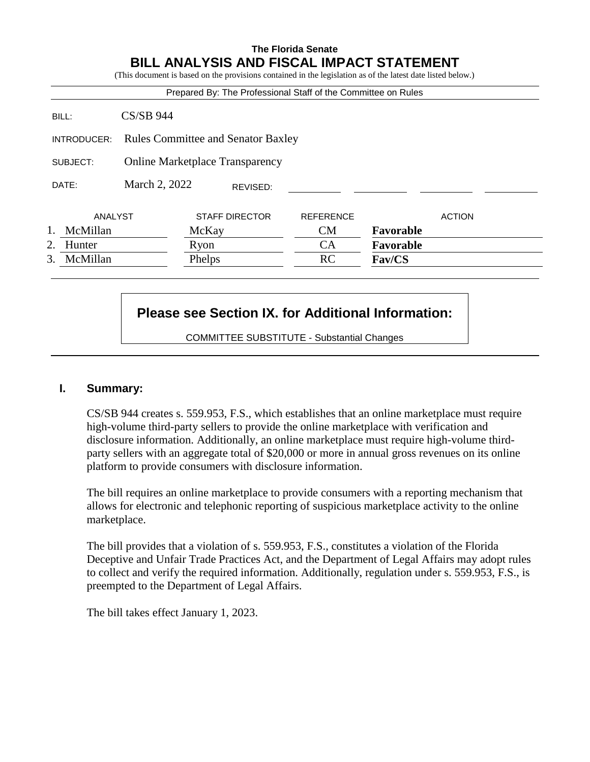## **The Florida Senate BILL ANALYSIS AND FISCAL IMPACT STATEMENT**

(This document is based on the provisions contained in the legislation as of the latest date listed below.)

|                |                                           | Prepared By: The Professional Staff of the Committee on Rules |                  |           |               |
|----------------|-------------------------------------------|---------------------------------------------------------------|------------------|-----------|---------------|
| BILL:          | $CS/SB$ 944                               |                                                               |                  |           |               |
| INTRODUCER:    | <b>Rules Committee and Senator Baxley</b> |                                                               |                  |           |               |
| SUBJECT:       | <b>Online Marketplace Transparency</b>    |                                                               |                  |           |               |
| DATE:          | March 2, 2022<br>REVISED:                 |                                                               |                  |           |               |
| ANALYST        |                                           | <b>STAFF DIRECTOR</b>                                         | <b>REFERENCE</b> |           | <b>ACTION</b> |
| McMillan       |                                           | McKay                                                         | <b>CM</b>        | Favorable |               |
| Hunter<br>2.   |                                           | Ryon                                                          | CA               | Favorable |               |
| 3.<br>McMillan |                                           | Phelps                                                        | RC               | Fav/CS    |               |

# **Please see Section IX. for Additional Information:**

COMMITTEE SUBSTITUTE - Substantial Changes

#### **I. Summary:**

CS/SB 944 creates s. 559.953, F.S., which establishes that an online marketplace must require high-volume third-party sellers to provide the online marketplace with verification and disclosure information. Additionally, an online marketplace must require high-volume thirdparty sellers with an aggregate total of \$20,000 or more in annual gross revenues on its online platform to provide consumers with disclosure information.

The bill requires an online marketplace to provide consumers with a reporting mechanism that allows for electronic and telephonic reporting of suspicious marketplace activity to the online marketplace.

The bill provides that a violation of s. 559.953, F.S., constitutes a violation of the Florida Deceptive and Unfair Trade Practices Act, and the Department of Legal Affairs may adopt rules to collect and verify the required information. Additionally, regulation under s. 559.953, F.S., is preempted to the Department of Legal Affairs.

The bill takes effect January 1, 2023.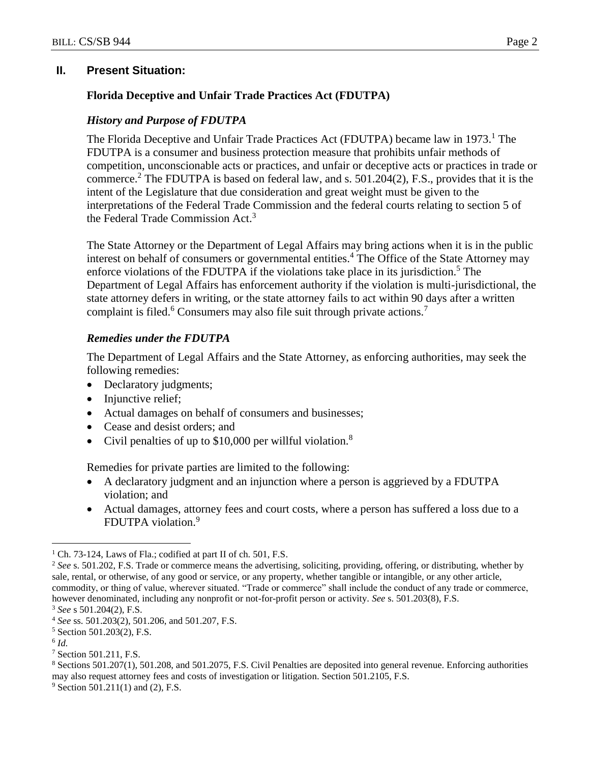#### **II. Present Situation:**

## **Florida Deceptive and Unfair Trade Practices Act (FDUTPA)**

#### *History and Purpose of FDUTPA*

The Florida Deceptive and Unfair Trade Practices Act (FDUTPA) became law in 1973.<sup>1</sup> The FDUTPA is a consumer and business protection measure that prohibits unfair methods of competition, unconscionable acts or practices, and unfair or deceptive acts or practices in trade or commerce.<sup>2</sup> The FDUTPA is based on federal law, and s.  $501.204(2)$ , F.S., provides that it is the intent of the Legislature that due consideration and great weight must be given to the interpretations of the Federal Trade Commission and the federal courts relating to section 5 of the Federal Trade Commission Act.<sup>3</sup>

The State Attorney or the Department of Legal Affairs may bring actions when it is in the public interest on behalf of consumers or governmental entities.<sup>4</sup> The Office of the State Attorney may enforce violations of the FDUTPA if the violations take place in its jurisdiction.<sup>5</sup> The Department of Legal Affairs has enforcement authority if the violation is multi-jurisdictional, the state attorney defers in writing, or the state attorney fails to act within 90 days after a written complaint is filed.<sup>6</sup> Consumers may also file suit through private actions.<sup>7</sup>

## *Remedies under the FDUTPA*

The Department of Legal Affairs and the State Attorney, as enforcing authorities, may seek the following remedies:

- Declaratory judgments;
- Injunctive relief;
- Actual damages on behalf of consumers and businesses;
- Cease and desist orders; and
- Civil penalties of up to  $$10,000$  per willful violation.<sup>8</sup>

Remedies for private parties are limited to the following:

- A declaratory judgment and an injunction where a person is aggrieved by a FDUTPA violation; and
- Actual damages, attorney fees and court costs, where a person has suffered a loss due to a FDUTPA violation.<sup>9</sup>

 $\overline{a}$ 

<sup>&</sup>lt;sup>1</sup> Ch. 73-124, Laws of Fla.; codified at part II of ch. 501, F.S.

<sup>2</sup> *See* s. 501.202, F.S. Trade or commerce means the advertising, soliciting, providing, offering, or distributing, whether by sale, rental, or otherwise, of any good or service, or any property, whether tangible or intangible, or any other article, commodity, or thing of value, wherever situated. "Trade or commerce" shall include the conduct of any trade or commerce, however denominated, including any nonprofit or not-for-profit person or activity. *See* s. 501.203(8), F.S.

<sup>3</sup> *See* s 501.204(2), F.S.

<sup>4</sup> *See* ss. 501.203(2), 501.206, and 501.207, F.S.

<sup>5</sup> Section 501.203(2), F.S.

<sup>6</sup> *Id.*

<sup>7</sup> Section 501.211, F.S.

<sup>8</sup> Sections 501.207(1), 501.208, and 501.2075, F.S. Civil Penalties are deposited into general revenue. Enforcing authorities may also request attorney fees and costs of investigation or litigation. Section 501.2105, F.S.

 $9$  Section 501.211(1) and (2), F.S.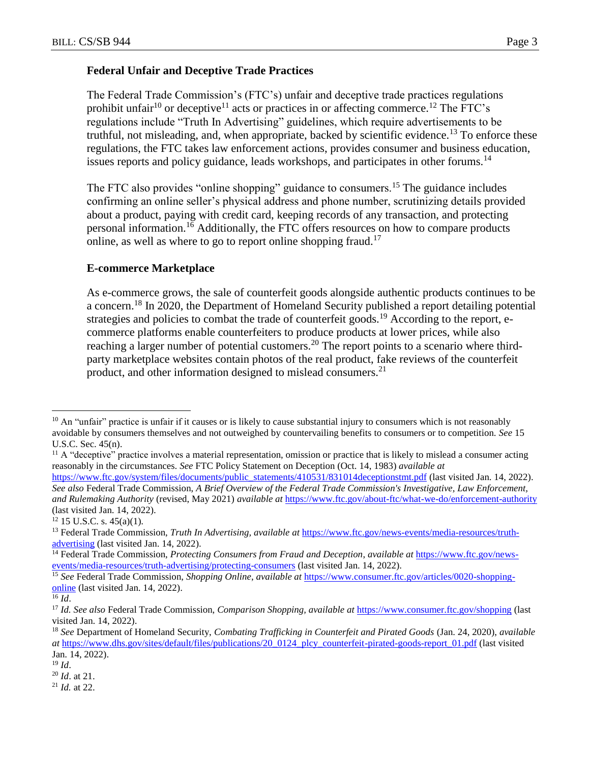## **Federal Unfair and Deceptive Trade Practices**

The Federal Trade Commission's (FTC's) unfair and deceptive trade practices regulations prohibit unfair<sup>10</sup> or deceptive<sup>11</sup> acts or practices in or affecting commerce.<sup>12</sup> The FTC's regulations include "Truth In Advertising" guidelines, which require advertisements to be truthful, not misleading, and, when appropriate, backed by scientific evidence.<sup>13</sup> To enforce these regulations, the FTC takes law enforcement actions, provides consumer and business education, issues reports and policy guidance, leads workshops, and participates in other forums.<sup>14</sup>

The FTC also provides "online shopping" guidance to consumers.<sup>15</sup> The guidance includes confirming an online seller's physical address and phone number, scrutinizing details provided about a product, paying with credit card, keeping records of any transaction, and protecting personal information.<sup>16</sup> Additionally, the FTC offers resources on how to compare products online, as well as where to go to report online shopping fraud.<sup>17</sup>

## **E-commerce Marketplace**

As e-commerce grows, the sale of counterfeit goods alongside authentic products continues to be a concern.<sup>18</sup> In 2020, the Department of Homeland Security published a report detailing potential strategies and policies to combat the trade of counterfeit goods.<sup>19</sup> According to the report, ecommerce platforms enable counterfeiters to produce products at lower prices, while also reaching a larger number of potential customers.<sup>20</sup> The report points to a scenario where thirdparty marketplace websites contain photos of the real product, fake reviews of the counterfeit product, and other information designed to mislead consumers.<sup>21</sup>

 $\overline{a}$ 

 $10$  An "unfair" practice is unfair if it causes or is likely to cause substantial injury to consumers which is not reasonably avoidable by consumers themselves and not outweighed by countervailing benefits to consumers or to competition. *See* 15 U.S.C. Sec. 45(n).

 $<sup>11</sup>$  A "deceptive" practice involves a material representation, omission or practice that is likely to mislead a consumer acting</sup> reasonably in the circumstances. *See* FTC Policy Statement on Deception (Oct. 14, 1983) *available at* 

[https://www.ftc.gov/system/files/documents/public\\_statements/410531/831014deceptionstmt.pdf](https://www.ftc.gov/system/files/documents/public_statements/410531/831014deceptionstmt.pdf) (last visited Jan. 14, 2022). *See also* Federal Trade Commission, *A Brief Overview of the Federal Trade Commission's Investigative, Law Enforcement, and Rulemaking Authority* (revised, May 2021) *available at* <https://www.ftc.gov/about-ftc/what-we-do/enforcement-authority> (last visited Jan. 14, 2022).

 $12$  15 U.S.C. s. 45(a)(1).

<sup>13</sup> Federal Trade Commission, *Truth In Advertising, available at* [https://www.ftc.gov/news-events/media-resources/truth](https://www.ftc.gov/news-events/media-resources/truth-advertising)[advertising](https://www.ftc.gov/news-events/media-resources/truth-advertising) (last visited Jan. 14, 2022).

<sup>14</sup> Federal Trade Commission, *Protecting Consumers from Fraud and Deception*, *available at* [https://www.ftc.gov/news](https://www.ftc.gov/news-events/media-resources/truth-advertising/protecting-consumers)[events/media-resources/truth-advertising/protecting-consumers](https://www.ftc.gov/news-events/media-resources/truth-advertising/protecting-consumers) (last visited Jan. 14, 2022).

<sup>15</sup> *See* Federal Trade Commission, *Shopping Online*, *available at* [https://www.consumer.ftc.gov/articles/0020-shopping](https://www.consumer.ftc.gov/articles/0020-shopping-online)[online](https://www.consumer.ftc.gov/articles/0020-shopping-online) (last visited Jan. 14, 2022).

 $\overline{^{16}$  *Id.* 

<sup>17</sup> *Id. See also* Federal Trade Commission, *Comparison Shopping, available at* <https://www.consumer.ftc.gov/shopping> (last visited Jan. 14, 2022).

<sup>18</sup> *See* Department of Homeland Security, *Combating Trafficking in Counterfeit and Pirated Goods* (Jan. 24, 2020), *available at* [https://www.dhs.gov/sites/default/files/publications/20\\_0124\\_plcy\\_counterfeit-pirated-goods-report\\_01.pdf](https://www.dhs.gov/sites/default/files/publications/20_0124_plcy_counterfeit-pirated-goods-report_01.pdf) (last visited Jan. 14, 2022).

<sup>19</sup> *Id*.

<sup>20</sup> *Id*. at 21.

<sup>21</sup> *Id.* at 22.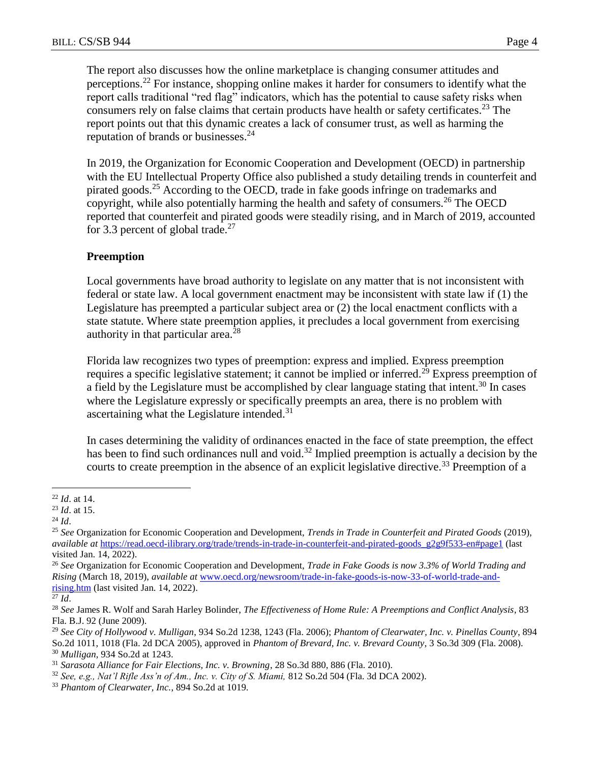The report also discusses how the online marketplace is changing consumer attitudes and perceptions.<sup>22</sup> For instance, shopping online makes it harder for consumers to identify what the report calls traditional "red flag" indicators, which has the potential to cause safety risks when consumers rely on false claims that certain products have health or safety certificates.<sup>23</sup> The report points out that this dynamic creates a lack of consumer trust, as well as harming the reputation of brands or businesses.<sup>24</sup>

In 2019, the Organization for Economic Cooperation and Development (OECD) in partnership with the EU Intellectual Property Office also published a study detailing trends in counterfeit and pirated goods.<sup>25</sup> According to the OECD, trade in fake goods infringe on trademarks and copyright, while also potentially harming the health and safety of consumers.<sup>26</sup> The OECD reported that counterfeit and pirated goods were steadily rising, and in March of 2019, accounted for 3.3 percent of global trade.<sup>27</sup>

## **Preemption**

Local governments have broad authority to legislate on any matter that is not inconsistent with federal or state law. A local government enactment may be inconsistent with state law if (1) the Legislature has preempted a particular subject area or (2) the local enactment conflicts with a state statute. Where state preemption applies, it precludes a local government from exercising authority in that particular area.<sup> $28$ </sup>

Florida law recognizes two types of preemption: express and implied. Express preemption requires a specific legislative statement; it cannot be implied or inferred.<sup>29</sup> Express preemption of a field by the Legislature must be accomplished by clear language stating that intent.<sup>30</sup> In cases where the Legislature expressly or specifically preempts an area, there is no problem with ascertaining what the Legislature intended. $31$ 

In cases determining the validity of ordinances enacted in the face of state preemption, the effect has been to find such ordinances null and void.<sup>32</sup> Implied preemption is actually a decision by the courts to create preemption in the absence of an explicit legislative directive.<sup>33</sup> Preemption of a

 $\overline{a}$ 

<sup>22</sup> *Id*. at 14.

<sup>23</sup> *Id*. at 15.

<sup>24</sup> *Id*.

<sup>25</sup> *See* Organization for Economic Cooperation and Development, *Trends in Trade in Counterfeit and Pirated Goods* (2019), *available at* [https://read.oecd-ilibrary.org/trade/trends-in-trade-in-counterfeit-and-pirated-goods\\_g2g9f533-en#page1](https://read.oecd-ilibrary.org/trade/trends-in-trade-in-counterfeit-and-pirated-goods_g2g9f533-en#page1) (last visited Jan. 14, 2022).

<sup>26</sup> *See* Organization for Economic Cooperation and Development, *Trade in Fake Goods is now 3.3% of World Trading and Rising* (March 18, 2019), *available at* [www.oecd.org/newsroom/trade-in-fake-goods-is-now-33-of-world-trade-and](http://www.oecd.org/newsroom/trade-in-fake-goods-is-now-33-of-world-trade-and-rising.htm)[rising.htm](http://www.oecd.org/newsroom/trade-in-fake-goods-is-now-33-of-world-trade-and-rising.htm) (last visited Jan. 14, 2022).

 $\overline{^{27}Id.}$ 

<sup>28</sup> *See* James R. Wolf and Sarah Harley Bolinder, *The Effectiveness of Home Rule: A Preemptions and Conflict Analysis*, 83 Fla. B.J. 92 (June 2009).

<sup>29</sup> *See City of Hollywood v. Mulligan*, 934 So.2d 1238, 1243 (Fla. 2006); *Phantom of Clearwater, Inc. v. Pinellas County*, 894 So.2d 1011, 1018 (Fla. 2d DCA 2005), approved in *Phantom of Brevard, Inc. v. Brevard County*, 3 So.3d 309 (Fla. 2008). <sup>30</sup> *Mulligan*, 934 So.2d at 1243.

<sup>31</sup> *Sarasota Alliance for Fair Elections, Inc. v. Browning*, 28 So.3d 880, 886 (Fla. 2010).

<sup>32</sup> *See, e.g., Nat'l Rifle Ass'n of Am., Inc. v. City of S. Miami,* 812 So.2d 504 (Fla. 3d DCA 2002).

<sup>33</sup> *Phantom of Clearwater, Inc.*, 894 So.2d at 1019.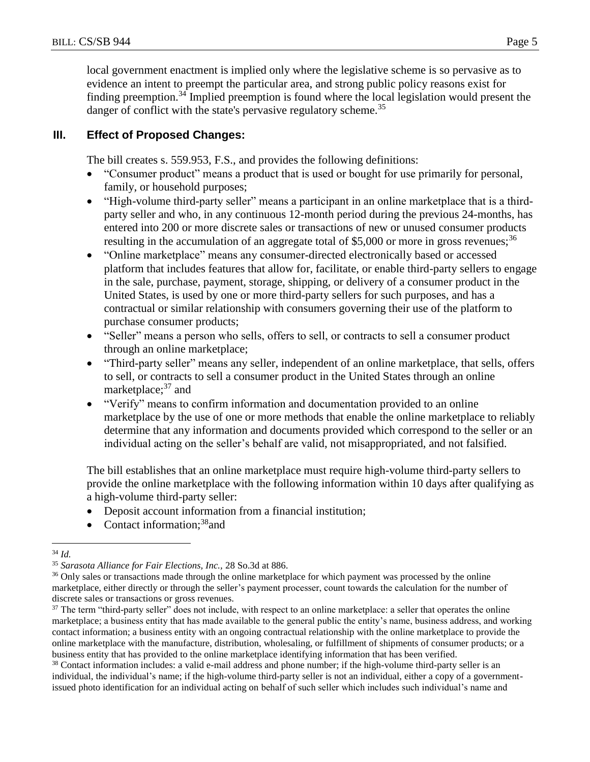local government enactment is implied only where the legislative scheme is so pervasive as to evidence an intent to preempt the particular area, and strong public policy reasons exist for finding preemption.<sup>34</sup> Implied preemption is found where the local legislation would present the danger of conflict with the state's pervasive regulatory scheme.<sup>35</sup>

# **III. Effect of Proposed Changes:**

The bill creates s. 559.953, F.S., and provides the following definitions:

- "Consumer product" means a product that is used or bought for use primarily for personal, family, or household purposes;
- "High-volume third-party seller" means a participant in an online marketplace that is a thirdparty seller and who, in any continuous 12-month period during the previous 24-months, has entered into 200 or more discrete sales or transactions of new or unused consumer products resulting in the accumulation of an aggregate total of \$5,000 or more in gross revenues;<sup>36</sup>
- "Online marketplace" means any consumer-directed electronically based or accessed platform that includes features that allow for, facilitate, or enable third-party sellers to engage in the sale, purchase, payment, storage, shipping, or delivery of a consumer product in the United States, is used by one or more third-party sellers for such purposes, and has a contractual or similar relationship with consumers governing their use of the platform to purchase consumer products;
- "Seller" means a person who sells, offers to sell, or contracts to sell a consumer product through an online marketplace;
- "Third-party seller" means any seller, independent of an online marketplace, that sells, offers to sell, or contracts to sell a consumer product in the United States through an online marketplace;<sup>37</sup> and
- "Verify" means to confirm information and documentation provided to an online marketplace by the use of one or more methods that enable the online marketplace to reliably determine that any information and documents provided which correspond to the seller or an individual acting on the seller's behalf are valid, not misappropriated, and not falsified.

The bill establishes that an online marketplace must require high-volume third-party sellers to provide the online marketplace with the following information within 10 days after qualifying as a high-volume third-party seller:

- Deposit account information from a financial institution;
- Contact information; $38$ and

<sup>38</sup> Contact information includes: a valid e-mail address and phone number; if the high-volume third-party seller is an individual, the individual's name; if the high-volume third-party seller is not an individual, either a copy of a governmentissued photo identification for an individual acting on behalf of such seller which includes such individual's name and

 $\overline{a}$ <sup>34</sup> *Id.*

<sup>35</sup> *Sarasota Alliance for Fair Elections, Inc.,* 28 So.3d at 886.

<sup>&</sup>lt;sup>36</sup> Only sales or transactions made through the online marketplace for which payment was processed by the online marketplace, either directly or through the seller's payment processer, count towards the calculation for the number of discrete sales or transactions or gross revenues.

<sup>&</sup>lt;sup>37</sup> The term "third-party seller" does not include, with respect to an online marketplace: a seller that operates the online marketplace; a business entity that has made available to the general public the entity's name, business address, and working contact information; a business entity with an ongoing contractual relationship with the online marketplace to provide the online marketplace with the manufacture, distribution, wholesaling, or fulfillment of shipments of consumer products; or a business entity that has provided to the online marketplace identifying information that has been verified.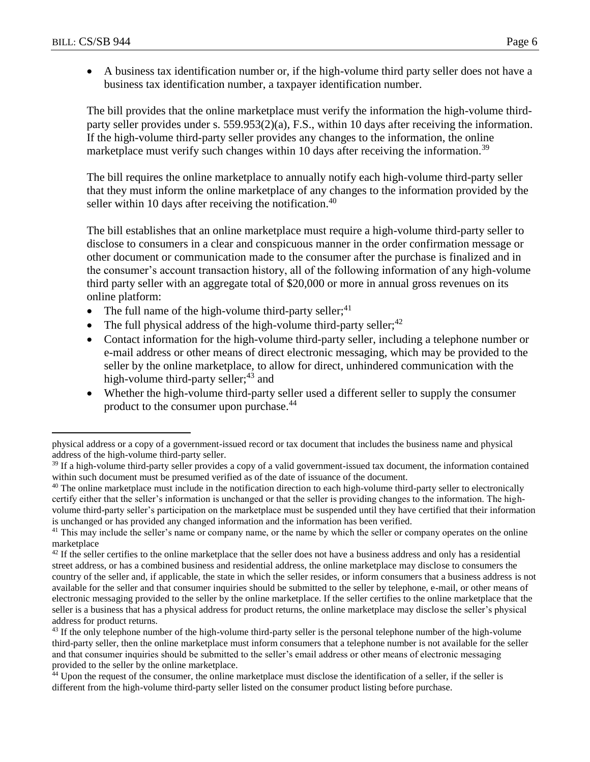$\overline{a}$ 

 A business tax identification number or, if the high-volume third party seller does not have a business tax identification number, a taxpayer identification number.

The bill provides that the online marketplace must verify the information the high-volume thirdparty seller provides under s. 559.953(2)(a), F.S., within 10 days after receiving the information. If the high-volume third-party seller provides any changes to the information, the online marketplace must verify such changes within 10 days after receiving the information.<sup>39</sup>

The bill requires the online marketplace to annually notify each high-volume third-party seller that they must inform the online marketplace of any changes to the information provided by the seller within 10 days after receiving the notification.<sup>40</sup>

The bill establishes that an online marketplace must require a high-volume third-party seller to disclose to consumers in a clear and conspicuous manner in the order confirmation message or other document or communication made to the consumer after the purchase is finalized and in the consumer's account transaction history, all of the following information of any high-volume third party seller with an aggregate total of \$20,000 or more in annual gross revenues on its online platform:

- The full name of the high-volume third-party seller;<sup>41</sup>
- The full physical address of the high-volume third-party seller; $42$
- Contact information for the high-volume third-party seller, including a telephone number or e-mail address or other means of direct electronic messaging, which may be provided to the seller by the online marketplace, to allow for direct, unhindered communication with the high-volume third-party seller; $43$  and
- Whether the high-volume third-party seller used a different seller to supply the consumer product to the consumer upon purchase.<sup>44</sup>

physical address or a copy of a government-issued record or tax document that includes the business name and physical address of the high-volume third-party seller.

<sup>&</sup>lt;sup>39</sup> If a high-volume third-party seller provides a copy of a valid government-issued tax document, the information contained within such document must be presumed verified as of the date of issuance of the document.

<sup>&</sup>lt;sup>40</sup> The online marketplace must include in the notification direction to each high-volume third-party seller to electronically certify either that the seller's information is unchanged or that the seller is providing changes to the information. The highvolume third-party seller's participation on the marketplace must be suspended until they have certified that their information is unchanged or has provided any changed information and the information has been verified.

<sup>&</sup>lt;sup>41</sup> This may include the seller's name or company name, or the name by which the seller or company operates on the online marketplace

 $42$  If the seller certifies to the online marketplace that the seller does not have a business address and only has a residential street address, or has a combined business and residential address, the online marketplace may disclose to consumers the country of the seller and, if applicable, the state in which the seller resides, or inform consumers that a business address is not available for the seller and that consumer inquiries should be submitted to the seller by telephone, e-mail, or other means of electronic messaging provided to the seller by the online marketplace. If the seller certifies to the online marketplace that the seller is a business that has a physical address for product returns, the online marketplace may disclose the seller's physical address for product returns.

 $43$  If the only telephone number of the high-volume third-party seller is the personal telephone number of the high-volume third-party seller, then the online marketplace must inform consumers that a telephone number is not available for the seller and that consumer inquiries should be submitted to the seller's email address or other means of electronic messaging provided to the seller by the online marketplace.

<sup>44</sup> Upon the request of the consumer, the online marketplace must disclose the identification of a seller, if the seller is different from the high-volume third-party seller listed on the consumer product listing before purchase.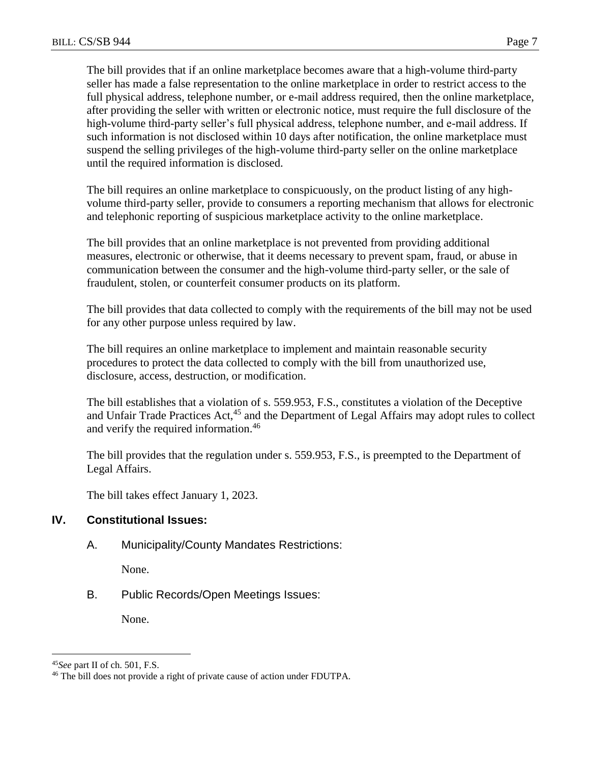full physical address, telephone number, or e-mail address required, then the online marketplace, after providing the seller with written or electronic notice, must require the full disclosure of the high-volume third-party seller's full physical address, telephone number, and e-mail address. If such information is not disclosed within 10 days after notification, the online marketplace must suspend the selling privileges of the high-volume third-party seller on the online marketplace until the required information is disclosed.

The bill requires an online marketplace to conspicuously, on the product listing of any highvolume third-party seller, provide to consumers a reporting mechanism that allows for electronic and telephonic reporting of suspicious marketplace activity to the online marketplace.

The bill provides that an online marketplace is not prevented from providing additional measures, electronic or otherwise, that it deems necessary to prevent spam, fraud, or abuse in communication between the consumer and the high-volume third-party seller, or the sale of fraudulent, stolen, or counterfeit consumer products on its platform.

The bill provides that data collected to comply with the requirements of the bill may not be used for any other purpose unless required by law.

The bill requires an online marketplace to implement and maintain reasonable security procedures to protect the data collected to comply with the bill from unauthorized use, disclosure, access, destruction, or modification.

The bill establishes that a violation of s. 559.953, F.S., constitutes a violation of the Deceptive and Unfair Trade Practices Act,<sup>45</sup> and the Department of Legal Affairs may adopt rules to collect and verify the required information.<sup>46</sup>

The bill provides that the regulation under s. 559.953, F.S., is preempted to the Department of Legal Affairs.

The bill takes effect January 1, 2023.

# **IV. Constitutional Issues:**

A. Municipality/County Mandates Restrictions:

None.

B. Public Records/Open Meetings Issues:

None.

 $\overline{a}$ <sup>45</sup>*See* part II of ch. 501, F.S.

<sup>&</sup>lt;sup>46</sup> The bill does not provide a right of private cause of action under FDUTPA.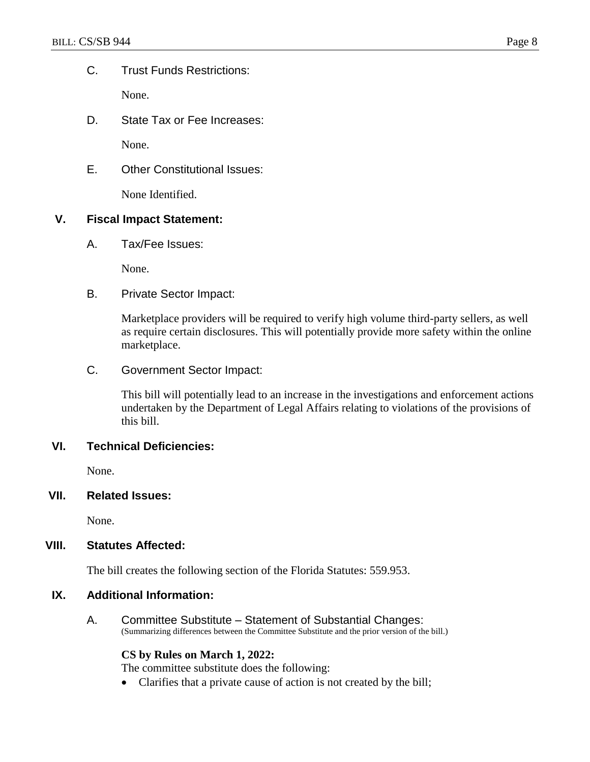C. Trust Funds Restrictions:

None.

D. State Tax or Fee Increases:

None.

E. Other Constitutional Issues:

None Identified.

## **V. Fiscal Impact Statement:**

A. Tax/Fee Issues:

None.

B. Private Sector Impact:

Marketplace providers will be required to verify high volume third-party sellers, as well as require certain disclosures. This will potentially provide more safety within the online marketplace.

C. Government Sector Impact:

This bill will potentially lead to an increase in the investigations and enforcement actions undertaken by the Department of Legal Affairs relating to violations of the provisions of this bill.

### **VI. Technical Deficiencies:**

None.

**VII. Related Issues:**

None.

## **VIII. Statutes Affected:**

The bill creates the following section of the Florida Statutes: 559.953.

## **IX. Additional Information:**

A. Committee Substitute – Statement of Substantial Changes: (Summarizing differences between the Committee Substitute and the prior version of the bill.)

#### **CS by Rules on March 1, 2022:**

The committee substitute does the following:

Clarifies that a private cause of action is not created by the bill;